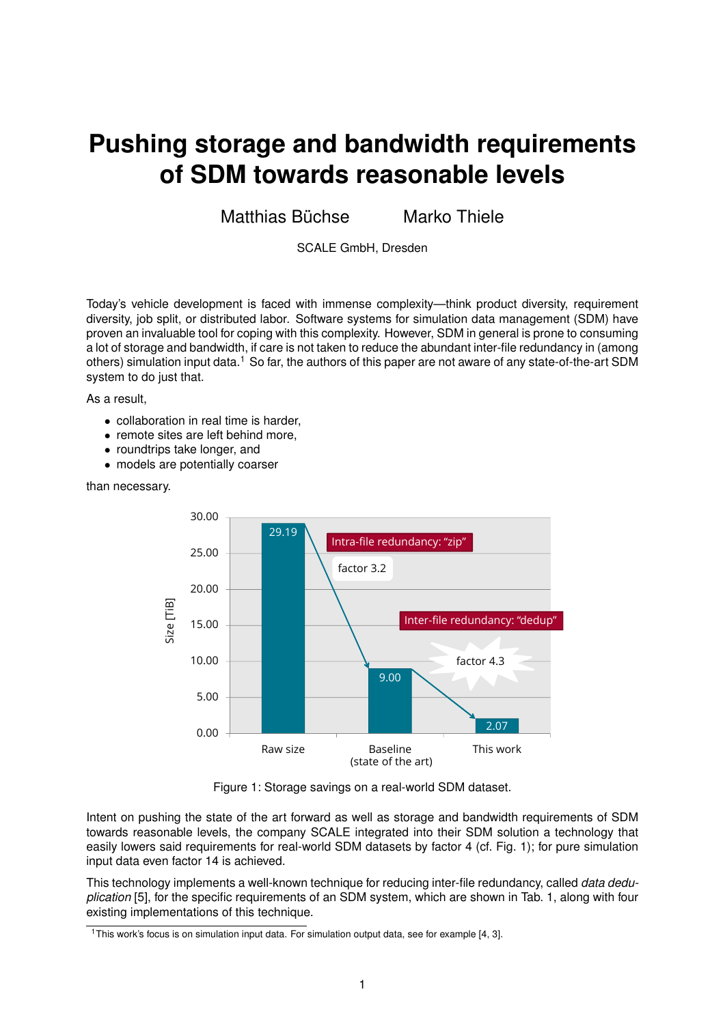## **Pushing storage and bandwidth requirements of SDM towards reasonable levels**

Matthias Büchse in Marko Thiele

SCALE GmbH, Dresden

Today's vehicle development is faced with immense complexity—think product diversity, requirement diversity, job split, or distributed labor. Software systems for simulation data management (SDM) have proven an invaluable tool for coping with this complexity. However, SDM in general is prone to consuming a lot of storage and bandwidth, if care is not taken to reduce the abundant inter-file redundancy in (among others) simulation input data.<sup>1</sup> So far, the authors of this paper are not aware of any state-of-the-art SDM system to do just that.

As a result,

- collaboration in real time is harder,
- remote sites are left behind more.
- roundtrips take longer, and
- models are potentially coarser

## than necessary.



Figure 1: Storage savings on a real-world SDM dataset.

Intent on pushing the state of the art forward as well as storage and bandwidth requirements of SDM towards reasonable levels, the company SCALE integrated into their SDM solution a technology that easily lowers said requirements for real-world SDM datasets by factor 4 (cf. Fig. 1); for pure simulation input data even factor 14 is achieved.

This technology implements a well-known technique for reducing inter-file redundancy, called *data deduplication* [5], for the specific requirements of an SDM system, which are shown in Tab. 1, along with four existing implementations of this technique.

<sup>&</sup>lt;sup>1</sup>This work's focus is on simulation input data. For simulation output data, see for example [4, 3].